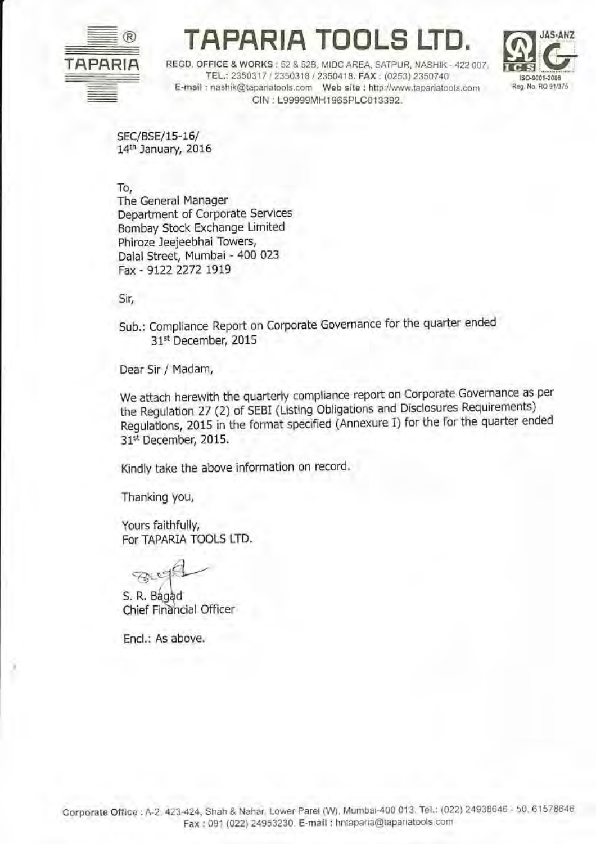

## APARIA TOOLS

JAS-ANZ ISO-9001-2008 Reg. No. RQ 91/375

REGD, OFFICE & WORKS: 52 & 52B, MIDC AREA, SATPUR, NASHIK - 422 007 TEL: 2350317 / 2350318 / 2350418, FAX: (0253) 2350740 E-mail : nashik@tapanatools.com Web site : http://www.tapariatools.com CIN: L99999MH1965PLC013392.

SEC/BSE/15-16/ 14th January, 2016

To,

The General Manager Department of Corporate Services Bombay Stock Exchange Limited Phiroze Jeejeebhai Towers, Dalal Street, Mumbai - 400 023 Fax - 9122 2272 1919

Sir,

Sub.: Compliance Report on Corporate Governance for the quarter ended 31st December, 2015

Dear Sir / Madam,

We attach herewith the quarterly compliance report on Corporate Governance as per the Regulation 27 (2) of SEBI (Listing Obligations and Disclosures Requirements) Regulations, 2015 in the format specified (Annexure I) for the for the quarter ended 31st December, 2015.

Kindly take the above information on record.

Thanking you,

Yours faithfully, For TAPARIA TOOLS LTD.

FRIC

S. R. Bagad Chief Financial Officer

Encl.: As above.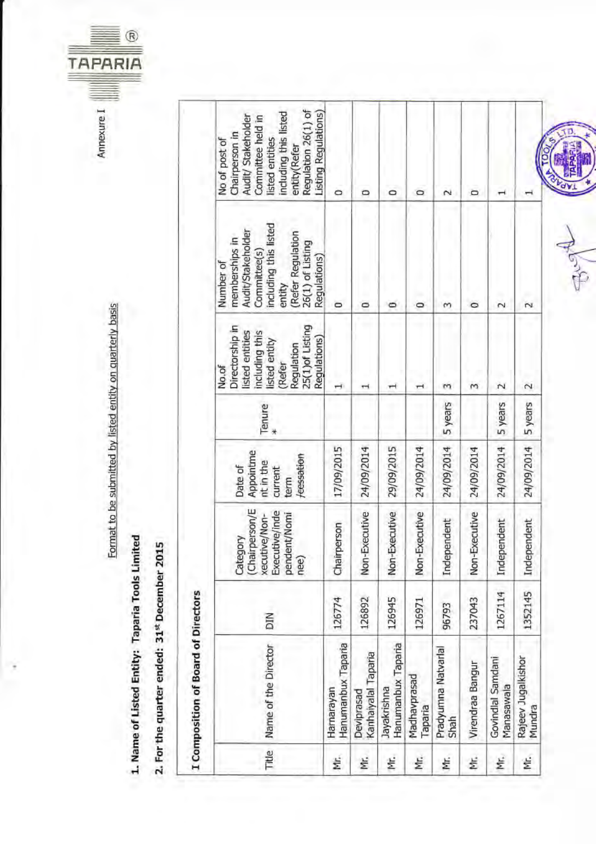

| I Composition of Board of Directors |                                   |         |                                                                                      |                                                                    |         |                                                                                                                                            |                                                                                                                                                              |                                                                                                                                                                                      |
|-------------------------------------|-----------------------------------|---------|--------------------------------------------------------------------------------------|--------------------------------------------------------------------|---------|--------------------------------------------------------------------------------------------------------------------------------------------|--------------------------------------------------------------------------------------------------------------------------------------------------------------|--------------------------------------------------------------------------------------------------------------------------------------------------------------------------------------|
| Title                               | Name of the Director              | NIQ     | (Chairperson/E<br>Executive/inde<br>pendent/Nomi<br>xecutive/Non-<br>Category<br>nee | Appointme<br>/cessation<br>nt in the<br>Date of<br>current<br>term | Tenure  | 25(1) of Listing<br>Directorship in<br>including this<br>listed entities<br>Regulations)<br>listed entity<br>Regulation<br>(Refer<br>No.of | including this listed<br>Audit/Stakeholder<br>(Refer Regulation<br>memberships in<br>26(1) of Listing<br>Committee(s)<br>Regulations)<br>Number of<br>entity | Regulation 26(1) of<br>Listing Regulations)<br>including this listed<br>Audit/Stakeholder<br>Committee held in<br>Chairperson in<br>listed entities<br>No of post of<br>entity(Refer |
| ž.                                  | Hanumanbux Taparia<br>Harnarayan  | 126774  | Chairperson                                                                          | 17/09/2015                                                         |         | H                                                                                                                                          | 0                                                                                                                                                            | $\circ$                                                                                                                                                                              |
| έ                                   | Kanhaiyalal Taparia<br>Deviprasad | 126892  | Non-Executive                                                                        | 24/09/2014                                                         |         |                                                                                                                                            | $\circ$                                                                                                                                                      | $\circ$                                                                                                                                                                              |
| ž.                                  | Hanumanbux Taparia<br>Jayakrishna | 126945  | Non-Executive                                                                        | 29/09/2015                                                         |         |                                                                                                                                            | o                                                                                                                                                            | O                                                                                                                                                                                    |
| ξ.                                  | Madhavprasad<br>Taparia           | 126971  | -Executive<br>Sp                                                                     | 24/09/2014                                                         |         |                                                                                                                                            | $\circ$                                                                                                                                                      | 0                                                                                                                                                                                    |
| ξ                                   | Pradyumna Natvarlal<br>Shah       | 96793   | Independent                                                                          | 24/09/2014                                                         | 5 years | m                                                                                                                                          | m                                                                                                                                                            | $\scriptstyle\sim$                                                                                                                                                                   |
| ξ                                   | Virendraa Bangur                  | 237043  | Non-Executive                                                                        | 24/09/2014                                                         |         | т                                                                                                                                          | ۰                                                                                                                                                            | o                                                                                                                                                                                    |
| ξ                                   | Govindial Samdani<br>Manasawala   | 1267114 | Independent                                                                          | 24/09/2014                                                         | 5 years | $\sim$                                                                                                                                     | $\sim$                                                                                                                                                       |                                                                                                                                                                                      |
| Ę.                                  | Rajeev Jugalkishor<br>Mundra      | 1352145 | Independent                                                                          | 24/09/2014                                                         | 5 years | $\sim$                                                                                                                                     | N                                                                                                                                                            |                                                                                                                                                                                      |

Format to be submitted by listed entity on quarterly basis

1. Name of Listed Entity: Taparia Tools Limited

2. For the quarter ended: 31st December 2015

**Fugi**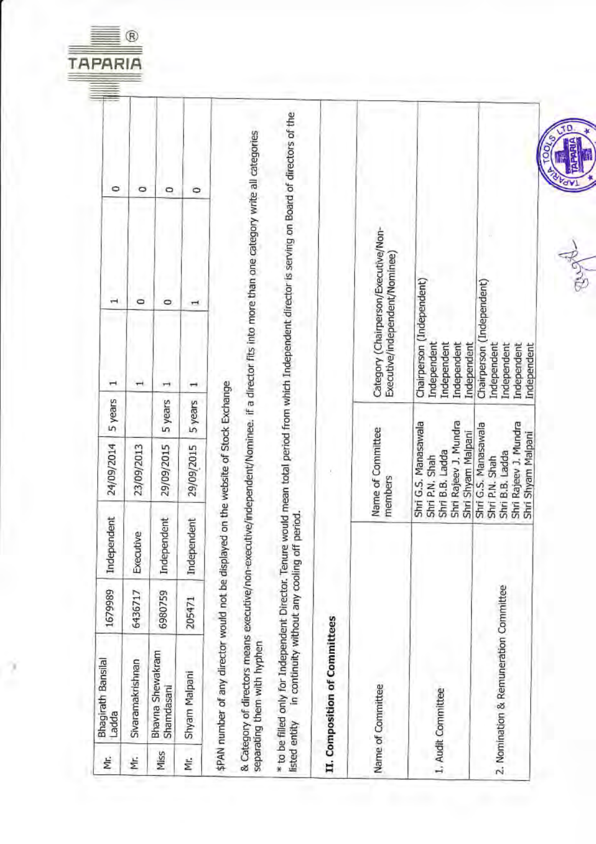

| Ë    | <b>Bhagirath Bansilal</b><br>Ladda                                                                                  | 1679989 | Independent                                   | 24/09/2014                                                                                               | 5 years | ۰<br>$\mathbf{\bar{}}$<br>ī                                                                                                                          |  |
|------|---------------------------------------------------------------------------------------------------------------------|---------|-----------------------------------------------|----------------------------------------------------------------------------------------------------------|---------|------------------------------------------------------------------------------------------------------------------------------------------------------|--|
| ΥF.  | Sivaramakrishnan                                                                                                    | 6436717 | Executive                                     | 23/09/2013                                                                                               |         | ۰<br>O<br>$\overline{\phantom{a}}$                                                                                                                   |  |
| Miss | Bhavna Shewakram<br>Shamdasani                                                                                      | 6980759 | Independent                                   | 29/09/2015                                                                                               | 5 years | ۰<br>$\circ$<br>H                                                                                                                                    |  |
| ξ    | Shyam Malpani                                                                                                       | 205471  | Independent                                   | 29/09/2015                                                                                               | 5 years | ۰<br>$\mathbf{r}$<br>⊣                                                                                                                               |  |
|      | \$PAN number of any director would not be displayed on the website of Stock Exchange<br>separating them with hyphen |         |                                               |                                                                                                          |         | & Category of directors means executive/non-executive/independent/Nominee. if a director fits into more than one category write all categories       |  |
|      | listed entity                                                                                                       |         | in continuity without any cooling off period. |                                                                                                          |         | * to be filled only for Independent Director. Tenure would mean total period from which Independent director is serving on Board of directors of the |  |
|      | II. Composition of Committees                                                                                       |         |                                               |                                                                                                          |         |                                                                                                                                                      |  |
|      | Name of Committee                                                                                                   |         |                                               | Name of Committee<br>members                                                                             |         | Category (Chairperson/Executive/Non-<br>Executive/independent/Nominee)                                                                               |  |
|      | L. Audit Committee                                                                                                  |         |                                               | Shri Rajeev J. Mundra<br>Shri G.S. Manasawala<br>Shri Shyam Malpani<br>Shri B.B. Ladda<br>Shri P.N. Shah |         | Chairperson (Independent)<br>Independent<br>Independent<br>Independent<br>Independent                                                                |  |
|      | 2. Nomination & Remuneration Committee                                                                              |         |                                               | Shri Rajeev J. Mundra<br>Shri G.S. Manasawala<br>Shri Shyam Malpani<br>Shri B.B. Ladda<br>Shri P.N. Shah |         | Chairperson (Independent)<br>Independent<br>Independent<br>Independent<br>Independent                                                                |  |
|      |                                                                                                                     |         |                                               |                                                                                                          |         |                                                                                                                                                      |  |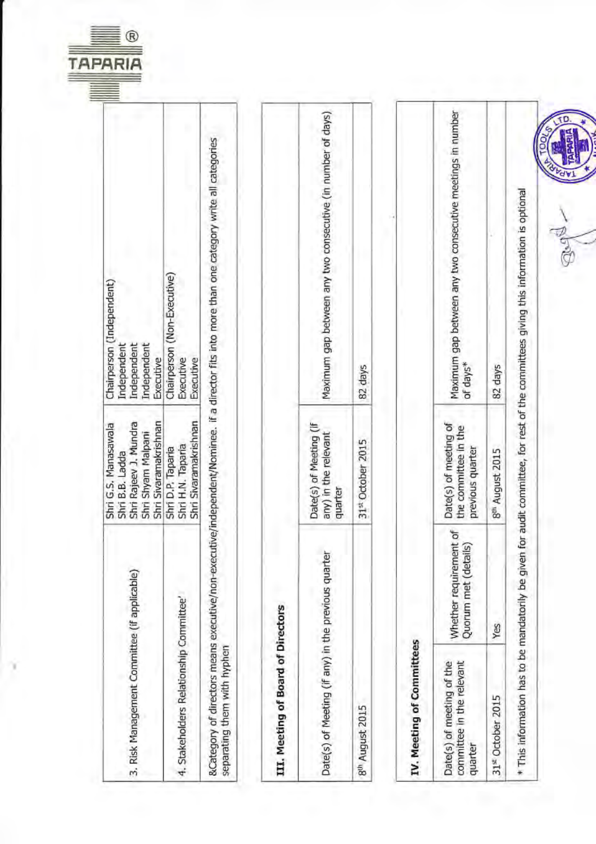

ľ

| Maximum gap between any two consecutive meetings in number<br>Maximum gap between any two consecutive (in number of days)<br>&Category of directors means executive/non-executive/independent/Nominee. if a director fits into more than one category write all categories<br>Chairperson (Non-Executive)<br>Independent<br>Executive<br>Executive<br>Executive<br>of days*<br>82 days<br>82 days<br>Shri Sivaramakrishnan<br>Shri Sivaramakrishnan<br>Date(s) of meeting of<br>Date(s) of Meeting (if<br>the committee in the<br>Shri Shyam Malpani<br>any) in the relevant<br>31 <sup>st</sup> October 2015<br>Shri H.N. Taparia<br>previous quarter<br>Shri D.P. Taparia<br>8th August 2015<br>quarter<br>Whether requirement of<br>Quorum met (details)<br>Date(s) of Meeting (if any) in the previous quarter<br>4. Stakeholders Relationship Committee'<br>III. Meeting of Board of Directors<br>Yes<br>IV. Meeting of Committees<br>separating them with hyphen<br>committee in the relevant<br>Date(s) of meeting of the<br>31 <sup>st</sup> October 2015<br>8th August 2015<br>quarter |
|-------------------------------------------------------------------------------------------------------------------------------------------------------------------------------------------------------------------------------------------------------------------------------------------------------------------------------------------------------------------------------------------------------------------------------------------------------------------------------------------------------------------------------------------------------------------------------------------------------------------------------------------------------------------------------------------------------------------------------------------------------------------------------------------------------------------------------------------------------------------------------------------------------------------------------------------------------------------------------------------------------------------------------------------------------------------------------------------------|
|                                                                                                                                                                                                                                                                                                                                                                                                                                                                                                                                                                                                                                                                                                                                                                                                                                                                                                                                                                                                                                                                                                 |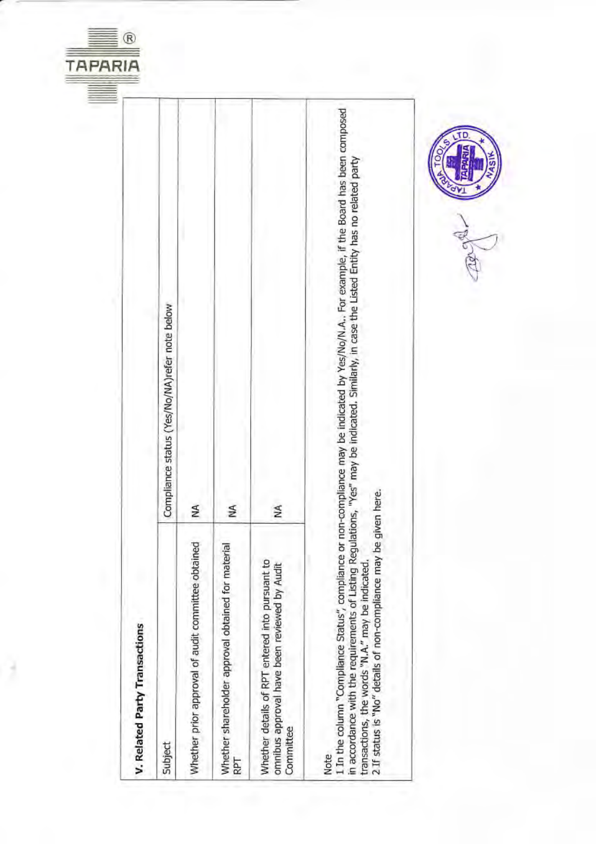

R